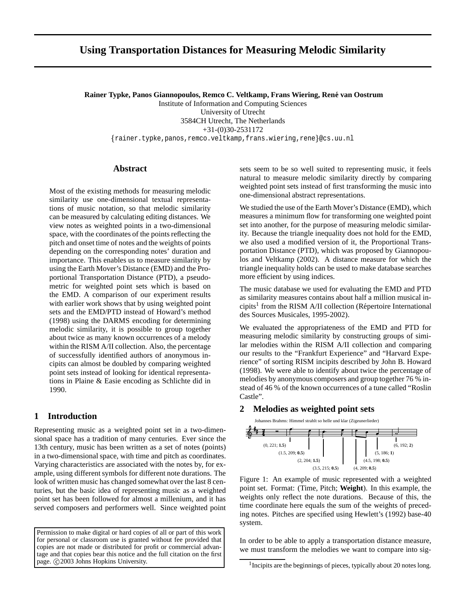# **Using Transportation Distances for Measuring Melodic Similarity**

**Rainer Typke, Panos Giannopoulos, Remco C. Veltkamp, Frans Wiering, Rene´ van Oostrum**

Institute of Information and Computing Sciences University of Utrecht 3584CH Utrecht, The Netherlands +31-(0)30-2531172

rainer.typke,panos,remco.veltkamp,frans.wiering,rene @cs.uu.nl

### **Abstract**

Most of the existing methods for measuring melodic similarity use one-dimensional textual representations of music notation, so that melodic similarity can be measured by calculating editing distances. We view notes as weighted points in a two-dimensional space, with the coordinates of the points reflecting the pitch and onset time of notes and the weights of points depending on the corresponding notes' duration and importance. This enables us to measure similarity by using the Earth Mover's Distance (EMD) and the Proportional Transportation Distance (PTD), a pseudometric for weighted point sets which is based on the EMD. A comparison of our experiment results with earlier work shows that by using weighted point sets and the EMD/PTD instead of Howard's method (1998) using the DARMS encoding for determining melodic similarity, it is possible to group together about twice as many known occurrences of a melody within the RISM A/II collection. Also, the percentage of successfully identified authors of anonymous incipits can almost be doubled by comparing weighted point sets instead of looking for identical representations in Plaine & Easie encoding as Schlichte did in 1990.

### **1 Introduction**

Representing music as a weighted point set in a two-dimensional space has a tradition of many centuries. Ever since the 13th century, music has been written as a set of notes (points) in a two-dimensional space, with time and pitch as coordinates. Varying characteristics are associated with the notes by, for example, using different symbols for different note durations. The look of written music has changed somewhat over the last 8 centuries, but the basic idea of representing music as a weighted point set has been followed for almost a millenium, and it has served composers and performers well. Since weighted point

Permission to make digital or hard copies of all or part of this work for personal or classroom use is granted without fee provided that copies are not made or distributed for profit or commercial advantage and that copies bear this notice and the full citation on the first page. ©2003 Johns Hopkins University.

sets seem to be so well suited to representing music, it feels natural to measure melodic similarity directly by comparing weighted point sets instead of first transforming the music into one-dimensional abstract representations.

We studied the use of the Earth Mover's Distance (EMD), which measures a minimum flow for transforming one weighted point set into another, for the purpose of measuring melodic similarity. Because the triangle inequality does not hold for the EMD, we also used a modified version of it, the Proportional Transportation Distance (PTD), which was proposed by Giannopoulos and Veltkamp (2002). A distance measure for which the triangle inequality holds can be used to make database searches more efficient by using indices.

The music database we used for evaluating the EMD and PTD as similarity measures contains about half a million musical incipits<sup>1</sup> from the RISM A/II collection (Répertoire International des Sources Musicales, 1995-2002).

We evaluated the appropriateness of the EMD and PTD for measuring melodic similarity by constructing groups of similar melodies within the RISM A/II collection and comparing our results to the "Frankfurt Experience" and "Harvard Experience" of sorting RISM incipits described by John B. Howard (1998). We were able to identify about twice the percentage of melodies by anonymous composers and group together 76 % instead of 46 % of the known occurrences of a tune called "Roslin Castle".

### **2 Melodies as weighted point sets**



Figure 1: An example of music represented with a weighted point set. Format: (Time, Pitch; **Weight**). In this example, the weights only reflect the note durations. Because of this, the time coordinate here equals the sum of the weights of preceding notes. Pitches are specified using Hewlett's (1992) base-40 system.

In order to be able to apply a transportation distance measure, we must transform the melodies we want to compare into sig-

<sup>&</sup>lt;sup>1</sup> Incipits are the beginnings of pieces, typically about 20 notes long.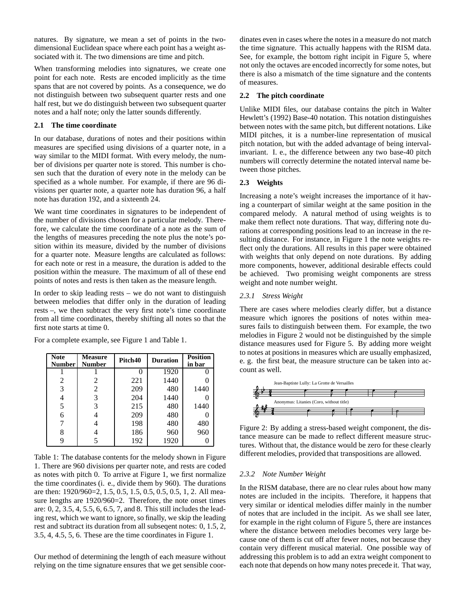natures. By signature, we mean a set of points in the twodimensional Euclidean space where each point has a weight associated with it. The two dimensions are time and pitch.

When transforming melodies into signatures, we create one point for each note. Rests are encoded implicitly as the time spans that are not covered by points. As a consequence, we do not distinguish between two subsequent quarter rests and one half rest, but we do distinguish between two subsequent quarter notes and a half note; only the latter sounds differently.

### **2.1 The time coordinate**

In our database, durations of notes and their positions within measures are specified using divisions of a quarter note, in a way similar to the MIDI format. With every melody, the number of divisions per quarter note is stored. This number is chosen such that the duration of every note in the melody can be specified as a whole number. For example, if there are 96 divisions per quarter note, a quarter note has duration 96, a half note has duration 192, and a sixteenth 24.

We want time coordinates in signatures to be independent of the number of divisions chosen for a particular melody. Therefore, we calculate the time coordinate of a note as the sum of the lengths of measures preceding the note plus the note's position within its measure, divided by the number of divisions for a quarter note. Measure lengths are calculated as follows: for each note or rest in a measure, the duration is added to the position within the measure. The maximum of all of these end points of notes and rests is then taken as the measure length.

In order to skip leading rests  $-$  we do not want to distinguish between melodies that differ only in the duration of leading rests –, we then subtract the very first note's time coordinate from all time coordinates, thereby shifting all notes so that the first note starts at time 0.

| <b>Note</b><br><b>Number</b> | <b>Measure</b><br><b>Number</b> | Pitch40 | <b>Duration</b> | <b>Position</b><br>in bar |
|------------------------------|---------------------------------|---------|-----------------|---------------------------|
|                              |                                 |         | 1920            |                           |
| 2                            | 2                               | 221     | 1440            |                           |
| 3                            | 2                               | 209     | 480             | 1440                      |
| 4                            | 3                               | 204     | 1440            |                           |
| 5                            | 3                               | 215     | 480             | 1440                      |
| 6                            |                                 | 209     | 480             |                           |
|                              |                                 | 198     | 480             | 480                       |
| 8                            |                                 | 186     | 960             | 960                       |
| 9                            |                                 | 192     | 1920            |                           |

For a complete example, see Figure 1 and Table 1.

Table 1: The database contents for the melody shown in Figure 1. There are 960 divisions per quarter note, and rests are coded as notes with pitch 0. To arrive at Figure 1, we first normalize the time coordinates (i. e., divide them by 960). The durations are then: 1920/960=2, 1.5, 0.5, 1.5, 0.5, 0.5, 0.5, 1, 2. All measure lengths are 1920/960=2. Therefore, the note onset times are: 0, 2, 3.5, 4, 5.5, 6, 6.5, 7, and 8. This still includes the leading rest, which we want to ignore, so finally, we skip the leading rest and subtract its duration from all subseqent notes: 0, 1.5, 2, 3.5, 4, 4.5, 5, 6. These are the time coordinates in Figure 1.

Our method of determining the length of each measure without relying on the time signature ensures that we get sensible coordinates even in cases where the notes in a measure do not match the time signature. This actually happens with the RISM data. See, for example, the bottom right incipit in Figure 5, where not only the octaves are encoded incorrectly for some notes, but there is also a mismatch of the time signature and the contents of measures.

#### **2.2 The pitch coordinate**

Unlike MIDI files, our database contains the pitch in Walter Hewlett's (1992) Base-40 notation. This notation distinguishes between notes with the same pitch, but different notations. Like MIDI pitches, it is a number-line representation of musical pitch notation, but with the added advantage of being intervalinvariant. I. e., the difference between any two base-40 pitch numbers will correctly determine the notated interval name between those pitches.

#### **2.3 Weights**

Increasing a note's weight increases the importance of it having a counterpart of similar weight at the same position in the compared melody. A natural method of using weights is to make them reflect note durations. That way, differing note durations at corresponding positions lead to an increase in the resulting distance. For instance, in Figure 1 the note weights reflect only the durations. All results in this paper were obtained with weights that only depend on note durations. By adding more components, however, additional desirable effects could be achieved. Two promising weight components are stress weight and note number weight.

#### *2.3.1 Stress Weight*

There are cases where melodies clearly differ, but a distance measure which ignores the positions of notes within measures fails to distinguish between them. For example, the two melodies in Figure 2 would not be distinguished by the simple distance measures used for Figure 5. By adding more weight to notes at positions in measures which are usually emphasized, e. g. the first beat, the measure structure can be taken into account as well.



Figure 2: By adding a stress-based weight component, the distance measure can be made to reflect different measure structures. Without that, the distance would be zero for these clearly different melodies, provided that transpositions are allowed.

#### *2.3.2 Note Number Weight*

In the RISM database, there are no clear rules about how many notes are included in the incipits. Therefore, it happens that very similar or identical melodies differ mainly in the number of notes that are included in the incipit. As we shall see later, for example in the right column of Figure 5, there are instances where the distance between melodies becomes very large because one of them is cut off after fewer notes, not because they contain very different musical material. One possible way of addressing this problem is to add an extra weight component to each note that depends on how many notes precede it. That way,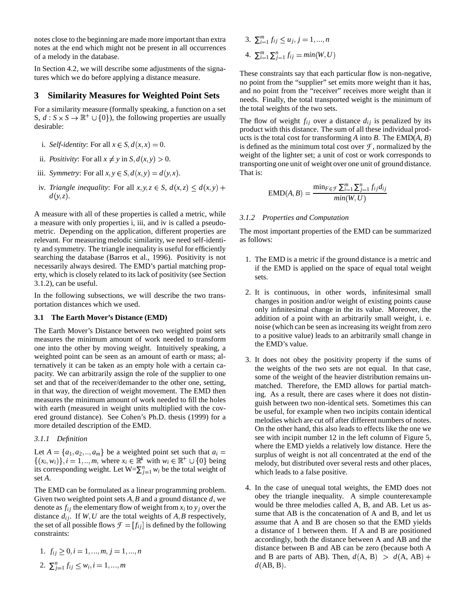notes close to the beginning are made more important than extra notes at the end which might not be present in all occurrences of a melody in the database.

In Section 4.2, we will describe some adjustments of the signatures which we do before applying a distance measure.

### **3 Similarity Measures for Weighted Point Sets**

For a similarity measure (formally speaking, a function on a set S,  $d : S \times S \to \mathbb{R}^+ \cup \{0\}$ , the following properties are usually desirable:

- i. *Self-identity*: For all  $x \in S$ ,  $d(x,x) = 0$ .
- ii. *Positivity*: For all  $x \neq y$  in  $S$ ,  $d(x, y) > 0$ .
- iii. *Symmetry*: For all  $x, y \in S$ ,  $d(x, y) = d(y, x)$ .
- iv. *Triangle inequality*: For all  $x, y, z \in S$ ,  $d(x, z) \leq d(x, y) +$  $d(y, z)$ .

A measure with all of these properties is called a metric, while a measure with only properties i, iii, and iv is called a pseudometric. Depending on the application, different properties are relevant. For measuring melodic similarity, we need self-identity and symmetry. The triangle inequality is useful for efficiently searching the database (Barros et al., 1996). Positivity is not necessarily always desired. The EMD's partial matching property, which is closely related to its lack of positivity (see Section 3.1.2), can be useful.

In the following subsections, we will describe the two transportation distances which we used.

#### **3.1 The Earth Mover's Distance (EMD)**

The Earth Mover's Distance between two weighted point sets measures the minimum amount of work needed to transform one into the other by moving weight. Intuitively speaking, a weighted point can be seen as an amount of earth or mass; alternatively it can be taken as an empty hole with a certain capacity. We can arbitrarily assign the role of the supplier to one set and that of the receiver/demander to the other one, setting, in that way, the direction of weight movement. The EMD then measures the minimum amount of work needed to fill the holes with earth (measured in weight units multiplied with the covered ground distance). See Cohen's Ph.D. thesis (1999) for a more detailed description of the EMD.

### *3.1.1 Definition*

Let  $A = \{a_1, a_2, \dots, a_m\}$  be a weighted point set such that  $a_i =$  surply  $\{(x_i, w_i)\}\$ ,  $i = 1, ..., m$ , where  $x_i \in \mathbb{R}^k$  with  $w_i \in \mathbb{R}^+ \cup \{0\}$  being its corresponding weight. Let  $W = \sum_{j=1}^{n} w_i$  be the total weight of set *A*.

The EMD can be formulated as a linear programming problem. Given two weighted point sets  $A, B$  and a ground distance  $d$ , we denote as  $f_{ij}$  the elementary flow of weight from  $x_i$  to  $y_j$  over the distance  $d_{ij}$ . If  $W, U$  are the total weights of  $A, B$  respectively, the set of all possible flows  $\mathcal{F} = [f_{ij}]$  is defined by the following constraints:

1. 
$$
f_{ij} \geq 0, i = 1, ..., m, j = 1, ..., n
$$

2. 
$$
\sum_{j=1}^{n} f_{ij} \leq w_i, i = 1, ..., m
$$

3.  $\sum_{i=1}^{m} f_{ij} \leq u_j, j = 1, ..., n$ 4.  $\sum_{i=1}^{m} \sum_{j=1}^{n} f_{ij} = min(W, U)$ 

These constraints say that each particular flow is non-negative, no point from the "supplier" set emits more weight than it has, and no point from the "receiver" receives more weight than it needs. Finally, the total transported weight is the minimum of the total weights of the two sets.

The flow of weight  $f_{ij}$  over a distance  $d_{ij}$  is penalized by its product with this distance. The sum of all these individual products is the total cost for transforming *A* into *B*. The EMD(*A*, *B*) is defined as the minimum total cost over  $\mathcal F$ , normalized by the weight of the lighter set; a unit of cost or work corresponds to transporting one unit of weight over one unit of ground distance. That is:

$$
EMD(A, B) = \frac{\min_{F \in \mathcal{F}} \sum_{i=1}^{m} \sum_{j=1}^{n} f_{ij} d_{ij}}{\min(W, U)}
$$

#### *3.1.2 Properties and Computation*

The most important properties of the EMD can be summarized as follows:

- 1. The EMD is a metric if the ground distance is a metric and if the EMD is applied on the space of equal total weight sets.
- 2. It is continuous, in other words, infinitesimal small changes in position and/or weight of existing points cause only infinitesimal change in the its value. Moreover, the addition of a point with an arbitrarily small weight, i. e. noise (which can be seen as increasing its weight from zero to a positive value) leads to an arbitrarily small change in the EMD's value.
- 3. It does not obey the positivity property if the sums of the weights of the two sets are not equal. In that case, some of the weight of the heavier distribution remains unmatched. Therefore, the EMD allows for partial matching. As a result, there are cases where it does not distinguish between two non-identical sets. Sometimes this can be useful, for example when two incipits contain identical melodies which are cut off after different numbers of notes. On the other hand, this also leads to effects like the one we see with incipit number 12 in the left column of Figure 5, where the EMD yields a relatively low distance. Here the surplus of weight is not all concentrated at the end of the melody, but distributed over several rests and other places, which leads to a false positive.
- 4. In the case of unequal total weights, the EMD does not obey the triangle inequality. A simple counterexample would be three melodies called A, B, and AB. Let us assume that AB is the concatenation of A and B, and let us assume that A and B are chosen so that the EMD yields a distance of 1 between them. If A and B are positioned accordingly, both the distance between A and AB and the distance between B and AB can be zero (because both A and B are parts of AB). Then,  $d(A, B) > d(A, AB) +$  $d(AB, B)$ .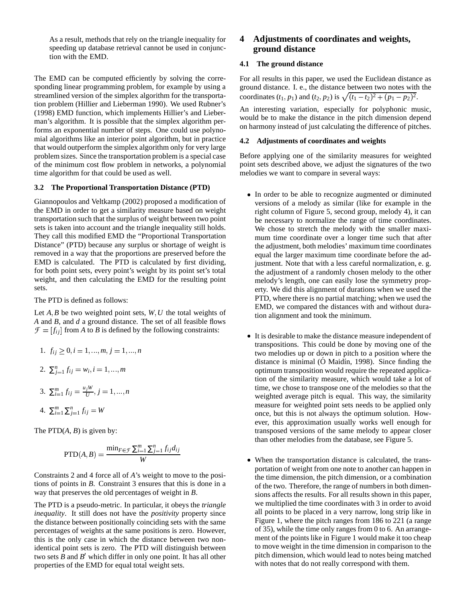As a result, methods that rely on the triangle inequality for speeding up database retrieval cannot be used in conjunction with the EMD.

The EMD can be computed efficiently by solving the corresponding linear programming problem, for example by using a streamlined version of the simplex algorithm for the transportation problem (Hillier and Lieberman 1990). We used Rubner's (1998) EMD function, which implements Hillier's and Lieberman's algorithm. It is possible that the simplex algorithm performs an exponential number of steps. One could use polynomial algorithms like an interior point algorithm, but in practice that would outperform the simplex algorithm only for very large problem sizes. Since the transportation problem is a special case of the minimum cost flow problem in networks, a polynomial time algorithm for that could be used as well.

#### **3.2 The Proportional Transportation Distance (PTD)**

Giannopoulos and Veltkamp (2002) proposed a modification of the EMD in order to get a similarity measure based on weight transportation such that the surplus of weight between two point sets is taken into account and the triangle inequality still holds. They call this modified EMD the "Proportional Transportation Distance" (PTD) because any surplus or shortage of weight is removed in a way that the proportions are preserved before the EMD is calculated. The PTD is calculated by first dividing, for both point sets, every point's weight by its point set's total weight, and then calculating the EMD for the resulting point sets.

The PTD is defined as follows:

Let  $A, B$  be two weighted point sets,  $W, U$  the total weights of *A* and *B*, and *d* a ground distance. The set of all feasible flows  $\mathcal{F} = [f_{ij}]$  from *A* to *B* is defined by the following constraints:

1. 
$$
f_{ij} \geq 0, i = 1, ..., m, j = 1, ..., n
$$

2. 
$$
\sum_{j=1}^{n} f_{ij} = w_i, i = 1, ..., m
$$

3. 
$$
\sum_{i=1}^{m} f_{ij} = \frac{u_j W}{U}, j = 1, ..., n
$$

4. 
$$
\sum_{i=1}^{m} \sum_{j=1}^{n} f_{ij} = W
$$

The  $PTD(A, B)$  is given by:

$$
\text{PTD}(A, B) = \frac{\min_{F \in \mathcal{F}} \sum_{i=1}^{m} \sum_{j=1}^{n} f_{ij} d_{ij}}{W}
$$

Constraints 2 and 4 force all of *A*'s weight to move to the positions of points in *B*. Constraint 3 ensures that this is done in a way that preserves the old percentages of weight in *B*.

The PTD is a pseudo-metric. In particular, it obeys the *triangle inequality*. It still does not have the *positivity* property since the distance between positionally coinciding sets with the same percentages of weights at the same positions is zero. However, this is the only case in which the distance between two nonidentical point sets is zero. The PTD will distinguish between two sets  $B$  and  $B'$  which differ in only one point. It has all other properties of the EMD for equal total weight sets.

### **4 Adjustments of coordinates and weights, ground distance**

#### **4.1 The ground distance**

For all results in this paper, we used the Euclidean distance as ground distance. I. e., the distance between two notes with the coordinates  $(t_1, p_1)$  and  $(t_2, p_2)$  is  $\sqrt{(t_1 - t_2)^2 + (p_1 - p_2)^2}$ .

An interesting variation, especially for polyphonic music, would be to make the distance in the pitch dimension depend on harmony instead of just calculating the difference of pitches.

#### **4.2 Adjustments of coordinates and weights**

Before applying one of the similarity measures for weighted point sets described above, we adjust the signatures of the two melodies we want to compare in several ways:

- In order to be able to recognize augmented or diminuted versions of a melody as similar (like for example in the right column of Figure 5, second group, melody 4), it can be necessary to normalize the range of time coordinates. We chose to stretch the melody with the smaller maximum time coordinate over a longer time such that after the adjustment, both melodies' maximum time coordinates equal the larger maximum time coordinate before the adjustment. Note that with a less careful normalization, e. g. the adjustment of a randomly chosen melody to the other melody's length, one can easily lose the symmetry property. We did this alignment of durations when we used the PTD, where there is no partial matching; when we used the EMD, we compared the distances with and without duration alignment and took the minimum.
- It is desirable to make the distance measure independent of transpositions. This could be done by moving one of the two melodies up or down in pitch to a position where the distance is minimal  $(O<sub>1</sub>$ Maidín, 1998). Since finding the optimum transposition would require the repeated application of the similarity measure, which would take a lot of time, we chose to transpose one of the melodies so that the weighted average pitch is equal. This way, the similarity measure for weighted point sets needs to be applied only once, but this is not always the optimum solution. However, this approximation usually works well enough for transposed versions of the same melody to appear closer than other melodies from the database, see Figure 5.
- When the transportation distance is calculated, the transportation of weight from one note to another can happen in the time dimension, the pitch dimension, or a combination of the two. Therefore, the range of numbers in both dimensions affects the results. For all results shown in this paper, we multiplied the time coordinates with 3 in order to avoid all points to be placed in a very narrow, long strip like in Figure 1, where the pitch ranges from 186 to 221 (a range of 35), while the time only ranges from 0 to 6. An arrangement of the points like in Figure 1 would make it too cheap to move weight in the time dimension in comparison to the pitch dimension, which would lead to notes being matched with notes that do not really correspond with them.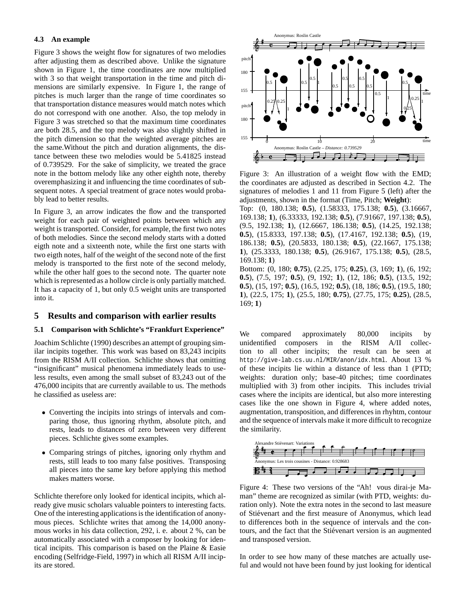#### **4.3 An example**

Figure 3 shows the weight flow for signatures of two melodies after adjusting them as described above. Unlike the signature shown in Figure 1, the time coordinates are now multiplied with 3 so that weight transportation in the time and pitch dimensions are similarly expensive. In Figure 1, the range of pitches is much larger than the range of time coordinates so that transportation distance measures would match notes which do not correspond with one another. Also, the top melody in Figure 3 was stretched so that the maximum time coordinates are both 28.5, and the top melody was also slightly shifted in the pitch dimension so that the weighted average pitches are the same.Without the pitch and duration alignments, the distance between these two melodies would be 5.41825 instead of 0.739529. For the sake of simplicity, we treated the grace note in the bottom melody like any other eighth note, thereby overemphasizing it and influencing the time coordinates of subsequent notes. A special treatment of grace notes would probably lead to better results.

In Figure 3, an arrow indicates the flow and the transported weight for each pair of weighted points between which any weight is transported. Consider, for example, the first two notes of both melodies. Since the second melody starts with a dotted eigth note and a sixteenth note, while the first one starts with two eigth notes, half of the weight of the second note of the first melody is transported to the first note of the second melody, while the other half goes to the second note. The quarter note which is represented as a hollow circle is only partially matched. It has a capacity of 1, but only 0.5 weight units are transported into it.

#### **5 Results and comparison with earlier results**

#### **5.1 Comparison with Schlichte's "Frankfurt Experience"**

Joachim Schlichte (1990) describes an attempt of grouping similar incipits together. This work was based on 83,243 incipits from the RISM A/II collection. Schlichte shows that omitting "insignificant" musical phenomena immediately leads to useless results, even among the small subset of 83,243 out of the 476,000 incipits that are currently available to us. The methods he classified as useless are:

- Converting the incipits into strings of intervals and comparing those, thus ignoring rhythm, absolute pitch, and rests, leads to distances of zero between very different pieces. Schlichte gives some examples.
- Comparing strings of pitches, ignoring only rhythm and rests, still leads to too many false positives. Transposing all pieces into the same key before applying this method makes matters worse.

Schlichte therefore only looked for identical incipits, which already give music scholars valuable pointers to interesting facts. One of the interesting applications is the identification of anonymous pieces. Schlichte writes that among the 14,000 anonymous works in his data collection, 292, i. e. about 2 %, can be automatically associated with a composer by looking for identical incipits. This comparison is based on the Plaine & Easie encoding (Selfridge-Field, 1997) in which all RISM A/II incipits are stored.



Figure 3: An illustration of a weight flow with the EMD; the coordinates are adjusted as described in Section 4.2. The signatures of melodies 1 and 11 from Figure 5 (left) after the adjustments, shown in the format (Time, Pitch; **Weight**):

Top: (0, 180.138; **0.5**), (1.58333, 175.138; **0.5**), (3.16667, 169.138; **1**), (6.33333, 192.138; **0.5**), (7.91667, 197.138; **0.5**), (9.5, 192.138; **1**), (12.6667, 186.138; **0.5**), (14.25, 192.138; **0.5**), (15.8333, 197.138; **0.5**), (17.4167, 192.138; **0.5**), (19, 186.138; **0.5**), (20.5833, 180.138; **0.5**), (22.1667, 175.138; **1**), (25.3333, 180.138; **0.5**), (26.9167, 175.138; **0.5**), (28.5, 169.138; **1**)

Bottom: (0, 180; **0.75**), (2.25, 175; **0.25**), (3, 169; **1**), (6, 192; **0.5**), (7.5, 197; **0.5**), (9, 192; **1**), (12, 186; **0.5**), (13.5, 192; **0.5**), (15, 197; **0.5**), (16.5, 192; **0.5**), (18, 186; **0.5**), (19.5, 180; **1**), (22.5, 175; **1**), (25.5, 180; **0.75**), (27.75, 175; **0.25**), (28.5, 169; **1**)

We compared approximately 80,000 incipits by unidentified composers in the RISM A/II collection to all other incipits; the result can be seen at http://give-lab.cs.uu.nl/MIR/anon/idx.html. About 13 % of these incipits lie within a distance of less than 1 (PTD; weights: duration only; base-40 pitches; time coordinates multiplied with 3) from other incipits. This includes trivial cases where the incipits are identical, but also more interesting cases like the one shown in Figure 4, where added notes, augmentation, transposition, and differences in rhyhtm, contour and the sequence of intervals make it more difficult to recognize the similarity.



Figure 4: These two versions of the "Ah! vous dirai-je Maman" theme are recognized as similar (with PTD, weights: duration only). Note the extra notes in the second to last measure of Stiévenart and the first measure of Anonymus, which lead to differences both in the sequence of intervals and the contours, and the fact that the Stiévenart version is an augmented and transposed version.

In order to see how many of these matches are actually useful and would not have been found by just looking for identical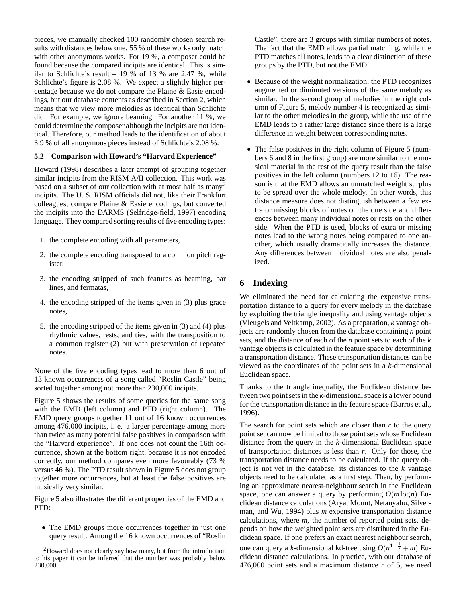pieces, we manually checked 100 randomly chosen search results with distances below one. 55 % of these works only match with other anonymous works. For 19 %, a composer could be found because the compared incipits are identical. This is similar to Schlichte's result  $-19%$  of 13 % are 2.47 %, while Schlichte's figure is 2.08 %. We expect a slightly higher percentage because we do not compare the Plaine & Easie encodings, but our database contents as described in Section 2, which means that we view more melodies as identical than Schlichte did. For example, we ignore beaming. For another 11 %, we could determine the composer although the incipits are not identical. Therefore, our method leads to the identification of about 3.9 % of all anonymous pieces instead of Schlichte's 2.08 %.

### **5.2 Comparison with Howard's "Harvard Experience"**

Howard (1998) describes a later attempt of grouping together similar incipits from the RISM A/II collection. This work was based on a subset of our collection with at most half as many 2 incipits. The U. S. RISM officials did not, like their Frankfurt colleagues, compare Plaine & Easie encodings, but converted the incipits into the DARMS (Selfridge-field, 1997) encoding language. They compared sorting results of five encoding types:

- 1. the complete encoding with all parameters,
- 2. the complete encoding transposed to a common pitch register,
- 3. the encoding stripped of such features as beaming, bar lines, and fermatas,
- 4. the encoding stripped of the items given in (3) plus grace notes,
- 5. the encoding stripped of the items given in (3) and (4) plus rhythmic values, rests, and ties, with the transposition to a common register (2) but with preservation of repeated notes.

None of the five encoding types lead to more than 6 out of 13 known occurrences of a song called "Roslin Castle" being sorted together among not more than 230,000 incipits.

Figure 5 shows the results of some queries for the same song with the EMD (left column) and PTD (right column). The EMD query groups together 11 out of 16 known occurrences among 476,000 incipits, i. e. a larger percentage among more than twice as many potential false positives in comparison with the "Harvard experience". If one does not count the 16th occurrence, shown at the bottom right, because it is not encoded correctly, our method compares even more favourably (73 % versus 46 %). The PTD result shown in Figure 5 does not group together more occurrences, but at least the false positives are musically very similar.

Figure 5 also illustrates the different properties of the EMD and PTD:

 The EMD groups more occurrences together in just one query result. Among the 16 known occurrences of "Roslin Castle", there are 3 groups with similar numbers of notes. The fact that the EMD allows partial matching, while the PTD matches all notes, leads to a clear distinction of these groups by the PTD, but not the EMD.

- Because of the weight normalization, the PTD recognizes augmented or diminuted versions of the same melody as similar. In the second group of melodies in the right column of Figure 5, melody number 4 is recognized as similar to the other melodies in the group, while the use of the EMD leads to a rather large distance since there is a large difference in weight between corresponding notes.
- The false positives in the right column of Figure 5 (numbers 6 and 8 in the first group) are more similar to the musical material in the rest of the query result than the false positives in the left column (numbers 12 to 16). The reason is that the EMD allows an unmatched weight surplus to be spread over the whole melody. In other words, this distance measure does not distinguish between a few extra or missing blocks of notes on the one side and differences between many individual notes or rests on the other side. When the PTD is used, blocks of extra or missing notes lead to the wrong notes being compared to one another, which usually dramatically increases the distance. Any differences between individual notes are also penalized.

## **6 Indexing**

We eliminated the need for calculating the expensive transportation distance to a query for every melody in the database by exploiting the triangle inequality and using vantage objects (Vleugels and Veltkamp, 2002). As a preparation, *k* vantage objects are randomly chosen from the database containing *n* point sets, and the distance of each of the *n* point sets to each of the *k* vantage objects is calculated in the feature space by determining a transportation distance. These transportation distances can be viewed as the coordinates of the point sets in a *k*-dimensional Euclidean space.

Thanks to the triangle inequality, the Euclidean distance between two point sets in the *k*-dimensional space is a lower bound for the transportation distance in the feature space (Barros et al., 1996).

The search for point sets which are closer than *r* to the query point set can now be limited to those point sets whose Euclidean distance from the query in the *k*-dimensional Euclidean space of transportation distances is less than *r*. Only for those, the transportation distance needs to be calculated. If the query object is not yet in the database, its distances to the *k* vantage objects need to be calculated as a first step. Then, by performing an approximate nearest-neighbour search in the Euclidean space, one can answer a query by performing  $O(m \log n)$  Euclidean distance calculations (Arya, Mount, Netanyahu, Silverman, and Wu, 1994) plus *m* expensive transportation distance calculations, where *m*, the number of reported point sets, depends on how the weighted point sets are distributed in the Euclidean space. If one prefers an exact nearest neighbour search, one can query a *k*-dimensional kd-tree using  $O(n^{1-\frac{1}{k}} + m)$  Euclidean distance calculations. In practice, with our database of 476,000 point sets and a maximum distance *r* of 5, we need

<sup>2</sup>Howard does not clearly say how many, but from the introduction to his paper it can be inferred that the number was probably below 230,000.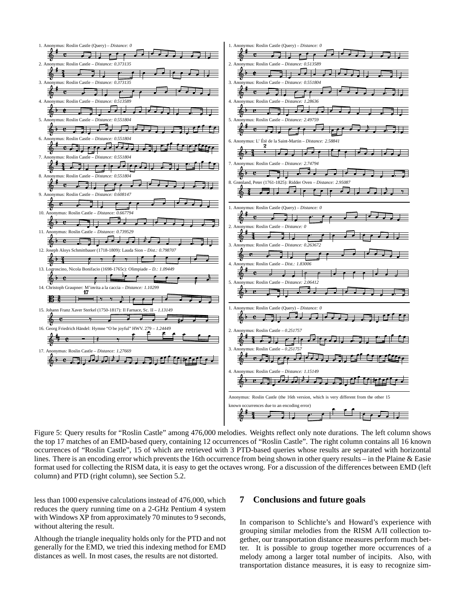

Figure 5: Query results for "Roslin Castle" among 476,000 melodies. Weights reflect only note durations. The left column shows the top 17 matches of an EMD-based query, containing 12 occurrences of "Roslin Castle". The right column contains all 16 known occurrences of "Roslin Castle", 15 of which are retrieved with 3 PTD-based queries whose results are separated with horizontal lines. There is an encoding error which prevents the 16th occurrence from being shown in other query results – in the Plaine & Easie format used for collecting the RISM data, it is easy to get the octaves wrong. For a discussion of the differences between EMD (left column) and PTD (right column), see Section 5.2.

less than 1000 expensive calculations instead of 476,000, which reduces the query running time on a 2-GHz Pentium 4 system with Windows XP from approximately 70 minutes to 9 seconds, without altering the result.

Although the triangle inequality holds only for the PTD and not generally for the EMD, we tried this indexing method for EMD distances as well. In most cases, the results are not distorted.

#### **7 Conclusions and future goals**

In comparison to Schlichte's and Howard's experience with grouping similar melodies from the RISM A/II collection together, our transportation distance measures perform much better. It is possible to group together more occurrences of a melody among a larger total number of incipits. Also, with transportation distance measures, it is easy to recognize sim